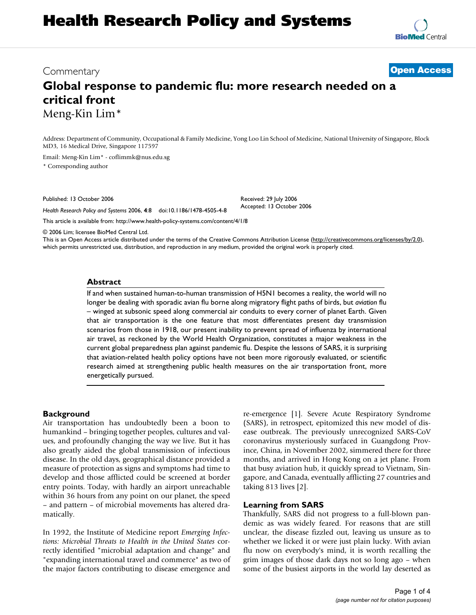# **Health Research Policy and Systems**

**[BioMed](http://www.biomedcentral.com/)** Central

# Commentary **[Open Access](http://www.biomedcentral.com/info/about/charter/)**

# **Global response to pandemic flu: more research needed on a critical front** Meng-Kin Lim\*

Address: Department of Community, Occupational & Family Medicine, Yong Loo Lin School of Medicine, National University of Singapore, Block MD3, 16 Medical Drive, Singapore 117597

> Received: 29 July 2006 Accepted: 13 October 2006

Email: Meng-Kin Lim\* - coflimmk@nus.edu.sg

\* Corresponding author

Published: 13 October 2006

*Health Research Policy and Systems* 2006, **4**:8 doi:10.1186/1478-4505-4-8

[This article is available from: http://www.health-policy-systems.com/content/4/1/8](http://www.health-policy-systems.com/content/4/1/8)

© 2006 Lim; licensee BioMed Central Ltd.

This is an Open Access article distributed under the terms of the Creative Commons Attribution License [\(http://creativecommons.org/licenses/by/2.0\)](http://creativecommons.org/licenses/by/2.0), which permits unrestricted use, distribution, and reproduction in any medium, provided the original work is properly cited.

#### **Abstract**

If and when sustained human-to-human transmission of H5N1 becomes a reality, the world will no longer be dealing with sporadic avian flu borne along migratory flight paths of birds, but *aviation* flu – winged at subsonic speed along commercial air conduits to every corner of planet Earth. Given that air transportation is the one feature that most differentiates present day transmission scenarios from those in 1918, our present inability to prevent spread of influenza by international air travel, as reckoned by the World Health Organization, constitutes a major weakness in the current global preparedness plan against pandemic flu. Despite the lessons of SARS, it is surprising that aviation-related health policy options have not been more rigorously evaluated, or scientific research aimed at strengthening public health measures on the air transportation front, more energetically pursued.

#### **Background**

Air transportation has undoubtedly been a boon to humankind – bringing together peoples, cultures and values, and profoundly changing the way we live. But it has also greatly aided the global transmission of infectious disease. In the old days, geographical distance provided a measure of protection as signs and symptoms had time to develop and those afflicted could be screened at border entry points. Today, with hardly an airport unreachable within 36 hours from any point on our planet, the speed – and pattern – of microbial movements has altered dramatically.

In 1992, the Institute of Medicine report *Emerging Infections: Microbial Threats to Health in the United States* correctly identified "microbial adaptation and change" and "expanding international travel and commerce" as two of the major factors contributing to disease emergence and re-emergence [1]. Severe Acute Respiratory Syndrome (SARS), in retrospect, epitomized this new model of disease outbreak. The previously unrecognized SARS-CoV coronavirus mysteriously surfaced in Guangdong Province, China, in November 2002, simmered there for three months, and arrived in Hong Kong on a jet plane. From that busy aviation hub, it quickly spread to Vietnam, Singapore, and Canada, eventually afflicting 27 countries and taking 813 lives [2].

#### **Learning from SARS**

Thankfully, SARS did not progress to a full-blown pandemic as was widely feared. For reasons that are still unclear, the disease fizzled out, leaving us unsure as to whether we licked it or were just plain lucky. With avian flu now on everybody's mind, it is worth recalling the grim images of those dark days not so long ago – when some of the busiest airports in the world lay deserted as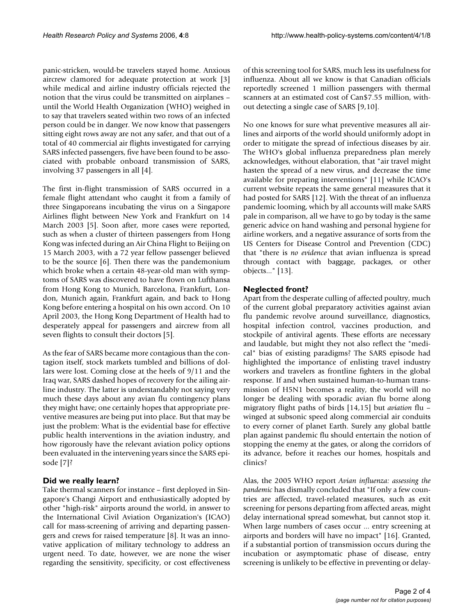panic-stricken, would-be travelers stayed home. Anxious aircrew clamored for adequate protection at work [3] while medical and airline industry officials rejected the notion that the virus could be transmitted on airplanes – until the World Health Organization (WHO) weighed in to say that travelers seated within two rows of an infected person could be in danger. We now know that passengers sitting eight rows away are not any safer, and that out of a total of 40 commercial air flights investigated for carrying SARS infected passengers, five have been found to be associated with probable onboard transmission of SARS, involving 37 passengers in all [4].

The first in-flight transmission of SARS occurred in a female flight attendant who caught it from a family of three Singaporeans incubating the virus on a Singapore Airlines flight between New York and Frankfurt on 14 March 2003 [5]. Soon after, more cases were reported, such as when a cluster of thirteen passengers from Hong Kong was infected during an Air China Flight to Beijing on 15 March 2003, with a 72 year fellow passenger believed to be the source [6]. Then there was the pandemonium which broke when a certain 48-year-old man with symptoms of SARS was discovered to have flown on Lufthansa from Hong Kong to Munich, Barcelona, Frankfurt, London, Munich again, Frankfurt again, and back to Hong Kong before entering a hospital on his own accord. On 10 April 2003, the Hong Kong Department of Health had to desperately appeal for passengers and aircrew from all seven flights to consult their doctors [5].

As the fear of SARS became more contagious than the contagion itself, stock markets tumbled and billions of dollars were lost. Coming close at the heels of 9/11 and the Iraq war, SARS dashed hopes of recovery for the ailing airline industry. The latter is understandably not saying very much these days about any avian flu contingency plans they might have; one certainly hopes that appropriate preventive measures are being put into place. But that may be just the problem: What is the evidential base for effective public health interventions in the aviation industry, and how rigorously have the relevant aviation policy options been evaluated in the intervening years since the SARS episode [7]?

# **Did we really learn?**

Take thermal scanners for instance – first deployed in Singapore's Changi Airport and enthusiastically adopted by other "high-risk" airports around the world, in answer to the International Civil Aviation Organization's (ICAO) call for mass-screening of arriving and departing passengers and crews for raised temperature [8]. It was an innovative application of military technology to address an urgent need. To date, however, we are none the wiser regarding the sensitivity, specificity, or cost effectiveness

of this screening tool for SARS, much less its usefulness for influenza. About all we know is that Canadian officials reportedly screened 1 million passengers with thermal scanners at an estimated cost of Can\$7.55 million, without detecting a single case of SARS [9,10].

No one knows for sure what preventive measures all airlines and airports of the world should uniformly adopt in order to mitigate the spread of infectious diseases by air. The WHO's global influenza preparedness plan merely acknowledges, without elaboration, that "air travel might hasten the spread of a new virus, and decrease the time available for preparing interventions" [11] while ICAO's current website repeats the same general measures that it had posted for SARS [12]. With the threat of an influenza pandemic looming, which by all accounts will make SARS pale in comparison, all we have to go by today is the same generic advice on hand washing and personal hygiene for airline workers, and a negative assurance of sorts from the US Centers for Disease Control and Prevention (CDC) that "there is *no evidence* that avian influenza is spread through contact with baggage, packages, or other objects..." [13].

## **Neglected front?**

Apart from the desperate culling of affected poultry, much of the current global preparatory activities against avian flu pandemic revolve around surveillance, diagnostics, hospital infection control, vaccines production, and stockpile of antiviral agents. These efforts are necessary and laudable, but might they not also reflect the "medical" bias of existing paradigms? The SARS episode had highlighted the importance of enlisting travel industry workers and travelers as frontline fighters in the global response. If and when sustained human-to-human transmission of H5N1 becomes a reality, the world will no longer be dealing with sporadic avian flu borne along migratory flight paths of birds [14,15] but *aviation* flu – winged at subsonic speed along commercial air conduits to every corner of planet Earth. Surely any global battle plan against pandemic flu should entertain the notion of stopping the enemy at the gates, or along the corridors of its advance, before it reaches our homes, hospitals and clinics?

Alas, the 2005 WHO report *Avian influenza: assessing the pandemic* has dismally concluded that "If only a few countries are affected, travel-related measures, such as exit screening for persons departing from affected areas, might delay international spread somewhat, but cannot stop it. When large numbers of cases occur ... entry screening at airports and borders will have no impact" [16]. Granted, if a substantial portion of transmission occurs during the incubation or asymptomatic phase of disease, entry screening is unlikely to be effective in preventing or delay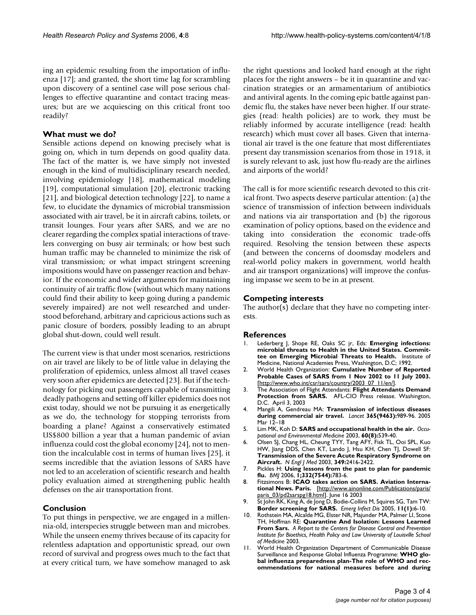ing an epidemic resulting from the importation of influenza [17]; and granted, the short time lag for scrambling upon discovery of a sentinel case will pose serious challenges to effective quarantine and contact tracing measures; but are we acquiescing on this critical front too readily?

#### **What must we do?**

Sensible actions depend on knowing precisely what is going on, which in turn depends on good quality data. The fact of the matter is, we have simply not invested enough in the kind of multidisciplinary research needed, involving epidemiology [18], mathematical modeling [19], computational simulation [20], electronic tracking [21], and biological detection technology [22], to name a few, to elucidate the dynamics of microbial transmission associated with air travel, be it in aircraft cabins, toilets, or transit lounges. Four years after SARS, and we are no clearer regarding the complex spatial interactions of travelers converging on busy air terminals; or how best such human traffic may be channeled to minimize the risk of viral transmission; or what impact stringent screening impositions would have on passenger reaction and behavior. If the economic and wider arguments for maintaining continuity of air traffic flow (without which many nations could find their ability to keep going during a pandemic severely impaired) are not well researched and understood beforehand, arbitrary and capricious actions such as panic closure of borders, possibly leading to an abrupt global shut-down, could well result.

The current view is that under most scenarios, restrictions on air travel are likely to be of little value in delaying the proliferation of epidemics, unless almost all travel ceases very soon after epidemics are detected [23]. But if the technology for picking out passengers capable of transmitting deadly pathogens and setting off killer epidemics does not exist today, should we not be pursuing it as energetically as we do, the technology for stopping terrorists from boarding a plane? Against a conservatively estimated US\$800 billion a year that a human pandemic of avian influenza could cost the global economy [24], not to mention the incalculable cost in terms of human lives [25], it seems incredible that the aviation lessons of SARS have not led to an acceleration of scientific research and health policy evaluation aimed at strengthening public health defenses on the air transportation front.

### **Conclusion**

To put things in perspective, we are engaged in a millennia-old, interspecies struggle between man and microbes. While the unseen enemy thrives because of its capacity for relentless adaptation and opportunistic spread, our own record of survival and progress owes much to the fact that at every critical turn, we have somehow managed to ask the right questions and looked hard enough at the right places for the right answers – be it in quarantine and vaccination strategies or an armamentarium of antibiotics and antiviral agents. In the coming epic battle against pandemic flu, the stakes have never been higher. If our strategies (read: health policies) are to work, they must be reliably informed by accurate intelligence (read: health research) which must cover all bases. Given that international air travel is the one feature that most differentiates present day transmission scenarios from those in 1918, it is surely relevant to ask, just how flu-ready are the airlines and airports of the world?

The call is for more scientific research devoted to this critical front. Two aspects deserve particular attention: (a) the science of transmission of infection between individuals and nations via air transportation and (b) the rigorous examination of policy options, based on the evidence and taking into consideration the economic trade-offs required. Resolving the tension between these aspects (and between the concerns of doomsday modelers and real-world policy makers in government, world health and air transport organizations) will improve the confusing impasse we seem to be in at present.

### **Competing interests**

The author(s) declare that they have no competing interests.

#### **References**

- 1. Lederberg J, Shope RE, Oaks SC jr, Eds: **[Emerging infections:](http://www.ncbi.nlm.nih.gov/entrez/query.fcgi?cmd=Retrieve&db=PubMed&dopt=Abstract&list_uids=1435830) [microbial threats to Health in the United States. Commit](http://www.ncbi.nlm.nih.gov/entrez/query.fcgi?cmd=Retrieve&db=PubMed&dopt=Abstract&list_uids=1435830)[tee on Emerging Microbial Threats to Health.](http://www.ncbi.nlm.nih.gov/entrez/query.fcgi?cmd=Retrieve&db=PubMed&dopt=Abstract&list_uids=1435830)** Institute of Medicine, National Academies Press, Washington, D.C; 1992.
- 2. World Health Organization: **Cumulative Number of Reported Probable Cases of SARS from 1 Nov 2002 to 11 July 2003.** [[http://www.who.int/csr/sars/country/2003\\_07\\_11/en/\]](http://www.who.int/csr/sars/country/2003_07_11/en/).
- 3. The Association of Flight Attendants: **Flight Attendants Demand Protection from SARS.** AFL-CIO Press release. Washington, D.C. April 3, 2003
- 4. Mangili A, Gendreau MA: **[Transmission of infectious diseases](http://www.ncbi.nlm.nih.gov/entrez/query.fcgi?cmd=Retrieve&db=PubMed&dopt=Abstract&list_uids=15767002) [during commercial air travel.](http://www.ncbi.nlm.nih.gov/entrez/query.fcgi?cmd=Retrieve&db=PubMed&dopt=Abstract&list_uids=15767002)** *Lancet* **365(9463):**989-96. 2005 Mar 12–18
- 5. Lim MK, Koh D: **SARS and occupational health in the air.** *Occupational and Environmental Medicine* 2003, **60(8):**539-40.
- 6. Olsen SJ, Chang HL, Cheung TYY, Tang AFY, Fisk TL, Ooi SPL, Kuo HW, Jiang DDS, Chen KT, Lando J, Hsu KH, Chen TJ, Dowell SF: **[Transmission of the Severe Acute Respiratory Syndrome on](http://www.ncbi.nlm.nih.gov/entrez/query.fcgi?cmd=Retrieve&db=PubMed&dopt=Abstract&list_uids=14681507) [Aircraft.](http://www.ncbi.nlm.nih.gov/entrez/query.fcgi?cmd=Retrieve&db=PubMed&dopt=Abstract&list_uids=14681507)** *N Engl J Med* 2003, **349:**2416-2422.
- 7. Pickles H: **Using lessons from the past to plan for pandemic flu.** *BMJ* 2006, **1;332(7544):**783-6.
- 8. Fitzsimons B: **ICAO takes action on SARS. Aviation International News. Paris.** [\[http://www.ainonline.com/Publications/paris/](http://www.ainonline.com/Publications/paris/paris_03/pd2sarspg18.html) [paris\\_03/pd2sarspg18.html](http://www.ainonline.com/Publications/paris/paris_03/pd2sarspg18.html)]. June 16 2003
- 9. St John RK, King A, de Jong D, Bodie-Collins M, Squires SG, Tam TW: **[Border screening for SARS.](http://www.ncbi.nlm.nih.gov/entrez/query.fcgi?cmd=Retrieve&db=PubMed&dopt=Abstract&list_uids=15705315)** *Emerg Infect Dis* 2005, **11(1):**6-10.
- 10. Rothstein MA, Alcalde MG, Elster NR, Majunder MA, Palmer LI, Stone TH, Hoffman RE: **Quarantine And Isolation: Lessons Learned From Sars.** *A Report to the Centers for Disease Control and Prevention Institute for Bioethics, Health Policy and Law University of Louisville School of Medicine* 2003.
- 11. World Health Organization Department of Communicable Disease Surveillance and Response Global Influenza Programme: **WHO global influenza preparedness plan-The role of WHO and recommendations for national measures before and during**